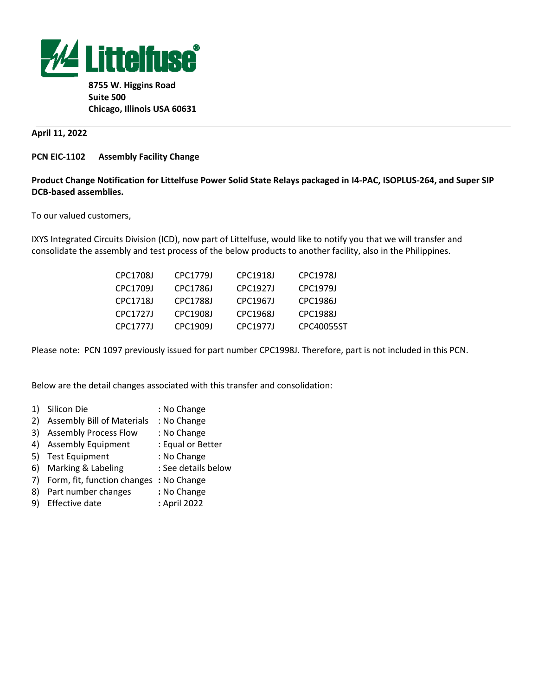

**8755 W. Higgins Road Suite 500 Chicago, Illinois USA 60631**

## **April 11, 2022**

## **PCN EIC-1102 Assembly Facility Change**

## **Product Change Notification for Littelfuse Power Solid State Relays packaged in I4-PAC, ISOPLUS-264, and Super SIP DCB-based assemblies.**

To our valued customers,

IXYS Integrated Circuits Division (ICD), now part of Littelfuse, would like to notify you that we will transfer and consolidate the assembly and test process of the below products to another facility, also in the Philippines.

| CPC17081 | CPC17791 | CPC19181 | CPC19781   |
|----------|----------|----------|------------|
| CPC1709L | CPC1786J | CPC19271 | CPC19791   |
| CPC17181 | CPC17881 | CPC19671 | CPC1986L   |
| CPC17271 | CPC19081 | CPC19681 | CPC19881   |
| CPC17771 | CPC19091 | CPC19771 | CPC40055ST |

Please note: PCN 1097 previously issued for part number CPC1998J. Therefore, part is not included in this PCN.

Below are the detail changes associated with this transfer and consolidation:

- 1) Silicon Die : No Change
- 2) Assembly Bill of Materials : No Change
- 3) Assembly Process Flow : No Change
- 4) Assembly Equipment : Equal or Better
- 5) Test Equipment : No Change
- 6) Marking & Labeling : See details below
- 7) Form, fit, function changes **:** No Change
- 8) Part number changes **:** No Change
- 9) Effective date **:** April 2022